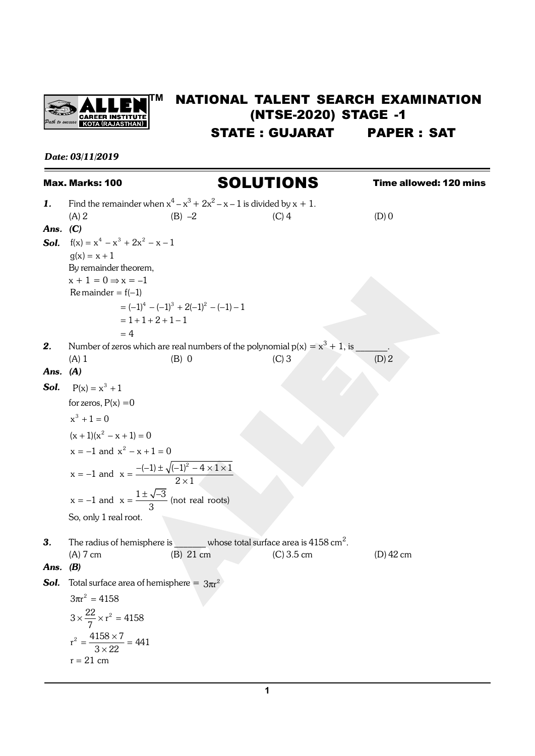

## **TIM NATIONAL TALENT SEARCH EXAMINATION** (NTSE-2020) STAGE -1 STATE : GUJARAT PAPER : SAT

## *Date: 03/11/2019*

|      | Max. Marks: 100                               |                                                                                      | <b>SOLUTIONS</b> | Time allowed: 120 mins |
|------|-----------------------------------------------|--------------------------------------------------------------------------------------|------------------|------------------------|
| 1.   |                                               | Find the remainder when $x^4 - x^3 + 2x^2 - x - 1$ is divided by $x + 1$ .           |                  |                        |
|      | $(A)$ 2                                       | $(B) -2$                                                                             | $(C)$ 4          | $(D)$ 0                |
| Ans. | (C)                                           |                                                                                      |                  |                        |
| Sol. | $f(x) = x^4 - x^3 + 2x^2 - x - 1$             |                                                                                      |                  |                        |
|      | $g(x)$ x 1                                    |                                                                                      |                  |                        |
|      | By remainder theorem,                         |                                                                                      |                  |                        |
|      | $x + 1 = 0 \Rightarrow x = -1$                |                                                                                      |                  |                        |
|      | Remainder = $f(-1)$                           |                                                                                      |                  |                        |
|      |                                               | $= (-1)^4 - (-1)^3 + 2(-1)^2 - (-1) - 1$                                             |                  |                        |
|      |                                               | $1 \t1 \t2 \t1 - 1$                                                                  |                  |                        |
|      | $\overline{4}$                                |                                                                                      |                  |                        |
| 2.   |                                               | Number of zeros which are real numbers of the polynomial $p(x) = x^3 + 1$ , is       |                  |                        |
|      | $(A)$ 1                                       | $(B)$ 0                                                                              | (C)3             | (D) 2                  |
| Ans. | (A)                                           |                                                                                      |                  |                        |
| Sol. | $P(x)$ $x^3$ 1                                |                                                                                      |                  |                        |
|      | for zeros, $P(x) = 0$                         |                                                                                      |                  |                        |
|      | $x^3$ 1 0                                     |                                                                                      |                  |                        |
|      | $(x + 1)(x2 - x \t 1) \t 0$                   |                                                                                      |                  |                        |
|      | $x = -1$ and $x^2 - x$ 1 0                    |                                                                                      |                  |                        |
|      |                                               | x = -1 and x $\frac{-(-1) \pm \sqrt{(-1)^2 - 4 \times 1 \times 1}}{2 \times 1}$      |                  |                        |
|      |                                               | $x = -1$ and $x = \frac{1 \pm \sqrt{-3}}{3}$ (not real roots)                        |                  |                        |
|      | So, only 1 real root.                         |                                                                                      |                  |                        |
|      |                                               |                                                                                      |                  |                        |
| 3.   |                                               | The radius of hemisphere is $\mu$ whose total surface area is 4158 cm <sup>2</sup> . |                  |                        |
|      | $(A)$ 7 cm                                    | (B) 21 cm                                                                            | $(C) 3.5$ cm     | $(D)$ 42 cm            |
| Ans. | (B)                                           |                                                                                      |                  |                        |
| Sol. |                                               | Total surface area of hemisphere = $3\pi r^2$                                        |                  |                        |
|      | $3\pi r^2$ 4158                               |                                                                                      |                  |                        |
|      | $3 \times \frac{22}{7} \times r^2$ 4158       |                                                                                      |                  |                        |
|      | $r^2$ $\frac{4158 \times 7}{3 \times 22}$ 441 |                                                                                      |                  |                        |
|      | $21 \text{ cm}$<br>r                          |                                                                                      |                  |                        |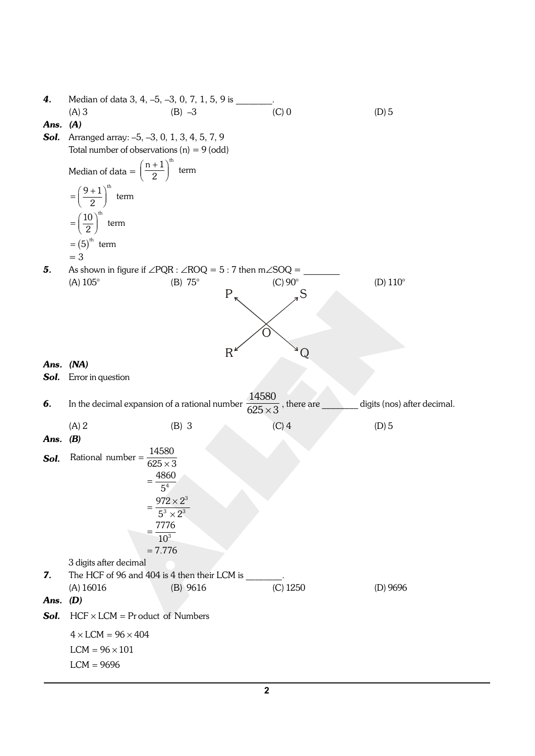| 4.   | Median of data 3, 4, -5, -3, 0, 7, 1, 5, 9 is                  |                                                                               |                                    |                             |
|------|----------------------------------------------------------------|-------------------------------------------------------------------------------|------------------------------------|-----------------------------|
|      | $(A)$ 3                                                        | $(B) -3$                                                                      | $(C)$ 0                            | $(D)$ 5                     |
| Ans. | (A)                                                            |                                                                               |                                    |                             |
| Sol. | Arranged array: -5, -3, 0, 1, 3, 4, 5, 7, 9                    |                                                                               |                                    |                             |
|      | Total number of observations $(n) = 9$ (odd)                   |                                                                               |                                    |                             |
|      | Median of data = $\left(\frac{n-1}{2}\right)^{\text{th}}$ term |                                                                               |                                    |                             |
|      | $\left(\frac{9}{2}^{-1}\right)^{\text{th}}$ term               |                                                                               |                                    |                             |
|      | $\left(\frac{10}{2}\right)^{\text{th}}$<br>term<br>$5th$ term  |                                                                               |                                    |                             |
|      |                                                                |                                                                               |                                    |                             |
|      | $=$ 3                                                          |                                                                               |                                    |                             |
| 5.   |                                                                | As shown in figure if $\angle PQR : \angle ROQ = 5 : 7$ then m $\angle SOQ =$ | $(C)$ 90 $^{\circ}$                |                             |
|      | $(A) 105^{\circ}$                                              | $(B) 75^\circ$<br>P                                                           | S                                  | (D) $110^\circ$             |
|      |                                                                |                                                                               |                                    |                             |
|      |                                                                |                                                                               |                                    |                             |
|      |                                                                |                                                                               | ∩                                  |                             |
|      |                                                                |                                                                               |                                    |                             |
|      |                                                                | R                                                                             | Q                                  |                             |
| Ans. | (NA)                                                           |                                                                               |                                    |                             |
| Sol. | Error in question                                              |                                                                               |                                    |                             |
|      |                                                                |                                                                               | 14580                              |                             |
|      |                                                                |                                                                               |                                    |                             |
| 6.   |                                                                | In the decimal expansion of a rational number                                 |                                    | digits (nos) after decimal. |
|      |                                                                |                                                                               | $\frac{1}{625\times3}$ , there are |                             |
|      | (A) 2                                                          | $(B)$ 3                                                                       | $(C)$ 4                            | $(D)$ 5                     |
| Ans. | (B)                                                            |                                                                               |                                    |                             |
|      | Rational number                                                | 14580                                                                         |                                    |                             |
| Sol. |                                                                | $625\times3$                                                                  |                                    |                             |
|      |                                                                | 4860                                                                          |                                    |                             |
|      |                                                                | 5 <sup>4</sup>                                                                |                                    |                             |
|      |                                                                | $972 \times 2^3$                                                              |                                    |                             |
|      |                                                                | $5^3 \times 2^3$                                                              |                                    |                             |
|      |                                                                | 7776                                                                          |                                    |                             |
|      |                                                                | $10^{3}$                                                                      |                                    |                             |
|      |                                                                | 7.776                                                                         |                                    |                             |
| 7.   | 3 digits after decimal                                         |                                                                               |                                    |                             |
|      |                                                                | The HCF of 96 and 404 is 4 then their LCM is                                  |                                    |                             |
|      | (A) 16016                                                      | (B) 9616                                                                      | $(C)$ 1250                         | $(D)$ 9696                  |
| Ans. | (D)                                                            |                                                                               |                                    |                             |
| Sol. | $HCF \times LCM$                                               | Product of Numbers                                                            |                                    |                             |
|      | $4 \times$ LCM = $96 \times 404$                               |                                                                               |                                    |                             |
|      | $LCM = 96 \times 101$                                          |                                                                               |                                    |                             |
|      | <b>LCM</b><br>9696                                             |                                                                               |                                    |                             |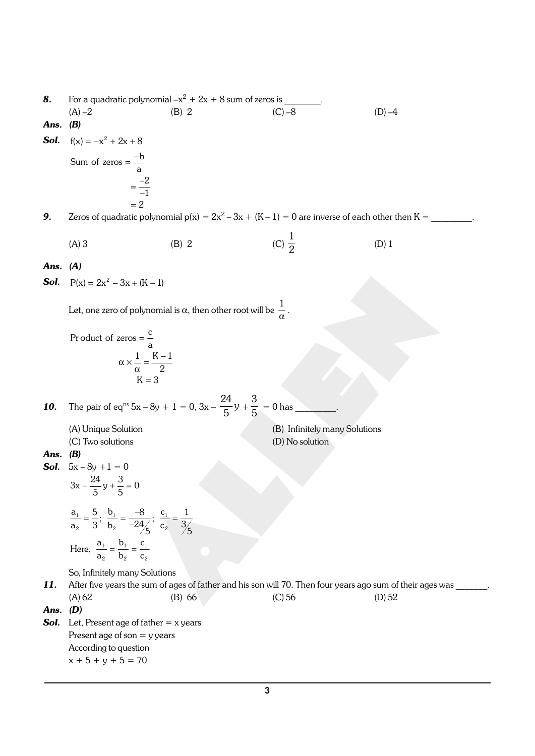8. For a quadratic polynomial  $-x^2 + 2x + 8$  sum of zeros is  $\qquad \qquad$ . (A) –2 (B) 2 (C) –8 (D) –4 *Ans. (B)* **Sol.**  $f(x) = -x^2$  2x 8 Sum of zeros  $\frac{-b}{a}$ - - 2 1 2 **9.** Zeros of quadratic polynomial  $p(x) = 2x^2 - 3x + (K - 1) = 0$  are inverse of each other then  $K =$  \_\_\_\_\_\_\_\_\_\_.  $(A) 3$  (B) 2 (C) 1 2 (D) 1 *Ans. (A)* **Sol.**  $P(x) = 2x^2 - 3x + (K - 1)$ Let, one zero of polynomial is  $\alpha$ , then other root will be  $\frac{\pi}{\alpha}$  $\frac{1}{\cdot}$ .  $\alpha \times \frac{1}{\alpha}$   $\frac{K}{2}$ Pr oduct of zeros  $\frac{c}{a}$  $1$  K  $-1$ 2 K 3 **10.** The pair of eq<sup>ns</sup>  $5x - 8y + 1 = 0$ ,  $3x - \frac{24}{5}y$  $\frac{1}{5}$ y + 3  $\overline{5}$  = 0 has \_\_\_\_\_\_\_. (A) Unique Solution (B) Infinitely many Solutions (C) Two solutions (D) No solution *Ans. (B)* **Sol.**  $5x - 8y + 1 = 0$  $3x - \frac{24}{5}y \frac{3}{5} = 0$  $\frac{5}{3}$ ;  $\frac{b_1}{b_2}$   $\frac{-8}{-24}$ ;  $\frac{c_1}{c_2}$  $\frac{1}{1} \frac{1}{1} \frac{1}{1}$ 1  $\cup$   $\cup$  1  $\cup$  1 2  $\frac{1}{2}$   $\frac{1}{2}$   $\frac{1}{2}$   $\frac{1}{2}$ 2  $\mathsf{v}_2$   $\mathsf{v}_2$  $\frac{a_1}{a_2}$   $\frac{5}{3}$ ;  $\frac{b_1}{b_2}$   $\frac{-8}{-24/5}$ ;  $\frac{c_1}{c_2}$   $\frac{1}{3/5}$ Here,  $\frac{a_1}{a_2}$   $\frac{b_1}{b_2}$   $\frac{c}{c}$ So, Infinitely many Solutions 11. After five years the sum of ages of father and his son will 70. Then four years ago sum of their ages was (A) 62 (B) 66 (C) 56 (D) 52 *Ans. (D)* **Sol.** Let, Present age of father = x years Present age of son  $=$  y years According to question  $x + 5 + y + 5 = 70$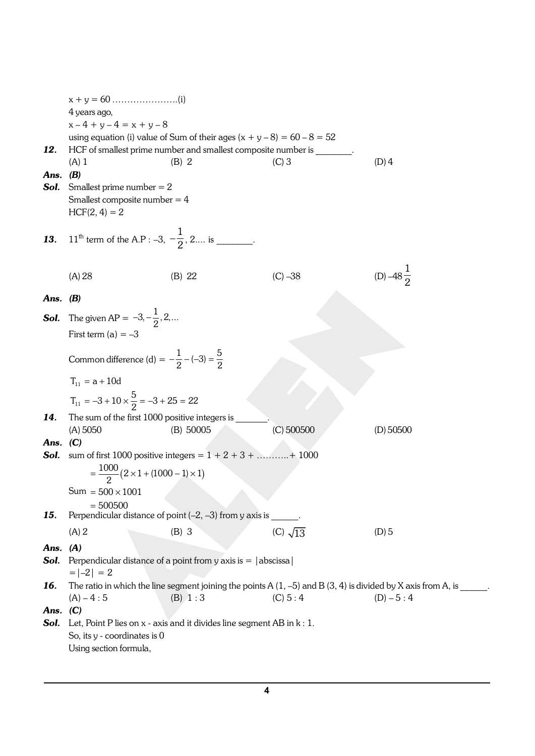|            | 4 years ago,                                                          |                                                                                                                   |                   |                      |
|------------|-----------------------------------------------------------------------|-------------------------------------------------------------------------------------------------------------------|-------------------|----------------------|
|            | $x-4 + y-4 = x + y - 8$                                               |                                                                                                                   |                   |                      |
|            |                                                                       | using equation (i) value of Sum of their ages $(x + y - 8) = 60 - 8 = 52$                                         |                   |                      |
| 12.        |                                                                       | HCF of smallest prime number and smallest composite number is ________.                                           |                   |                      |
|            | $(A)$ 1                                                               | $(B)$ 2                                                                                                           | $(C)$ 3           | $(D)$ 4              |
| Ans.       | (B)                                                                   |                                                                                                                   |                   |                      |
| Sol.       | Smallest prime number $= 2$                                           |                                                                                                                   |                   |                      |
|            | Smallest composite number $=$ 4                                       |                                                                                                                   |                   |                      |
|            |                                                                       |                                                                                                                   |                   |                      |
|            | $HCF(2, 4) = 2$                                                       |                                                                                                                   |                   |                      |
| 13.        | 11 <sup>th</sup> term of the A.P : -3, $-\frac{1}{2}$ , 2 is _______. |                                                                                                                   |                   |                      |
|            | (A) 28                                                                | (B) 22                                                                                                            | $(C) - 38$        | (D) $-48\frac{1}{2}$ |
| Ans. $(B)$ |                                                                       |                                                                                                                   |                   |                      |
|            | The given AP = $-3, -\frac{1}{2}, 2, $                                |                                                                                                                   |                   |                      |
| Sol.       |                                                                       |                                                                                                                   |                   |                      |
|            | First term $(a) = -3$                                                 |                                                                                                                   |                   |                      |
|            |                                                                       |                                                                                                                   |                   |                      |
|            | Common difference (d) = $-\frac{1}{2} - (-3) - \frac{5}{2}$           |                                                                                                                   |                   |                      |
|            | a 10d<br>$T_{11}$                                                     |                                                                                                                   |                   |                      |
|            | $T_{11} = -3 + 10 \times \frac{5}{2} = -3$ 25 22                      |                                                                                                                   |                   |                      |
| 14.        | The sum of the first 1000 positive integers is                        |                                                                                                                   |                   |                      |
|            | (A) 5050                                                              | (B) 50005                                                                                                         | $(C)$ 500500      | $(D)$ 50500          |
| Ans.       | (C)                                                                   |                                                                                                                   |                   |                      |
| Sol.       |                                                                       | sum of first 1000 positive integers = $1 + 2 + 3 + \dots + 1000$                                                  |                   |                      |
|            | $=\frac{1000}{2}$ 2 × 1 + (1000 – 1) × 1                              |                                                                                                                   |                   |                      |
|            | $Sum = 500 \times 1001$                                               |                                                                                                                   |                   |                      |
|            | 500500                                                                |                                                                                                                   |                   |                      |
| 15.        |                                                                       | Perpendicular distance of point $(-2, -3)$ from y axis is _                                                       |                   |                      |
|            | (A) 2                                                                 | $(B)$ 3                                                                                                           | $(C)$ $\sqrt{13}$ | $(D)$ 5              |
| Ans. $(A)$ |                                                                       |                                                                                                                   |                   |                      |
| Sol.       |                                                                       | Perpendicular distance of a point from y axis is $=  $ abscissa $ $                                               |                   |                      |
|            | $=  -2  = 2$                                                          |                                                                                                                   |                   |                      |
| 16.        |                                                                       | The ratio in which the line segment joining the points A $(1, -5)$ and B $(3, 4)$ is divided by X axis from A, is |                   |                      |
|            | $(A) - 4 : 5$                                                         | (B) 1:3                                                                                                           | (C) 5:4           | $(D) - 5:4$          |
| Ans. $(C)$ |                                                                       |                                                                                                                   |                   |                      |
| Sol.       |                                                                       | Let, Point P lies on $x$ - axis and it divides line segment AB in $k: 1$ .                                        |                   |                      |
|            | So, its y - coordinates is 0                                          |                                                                                                                   |                   |                      |
|            | Using section formula,                                                |                                                                                                                   |                   |                      |
|            |                                                                       |                                                                                                                   |                   |                      |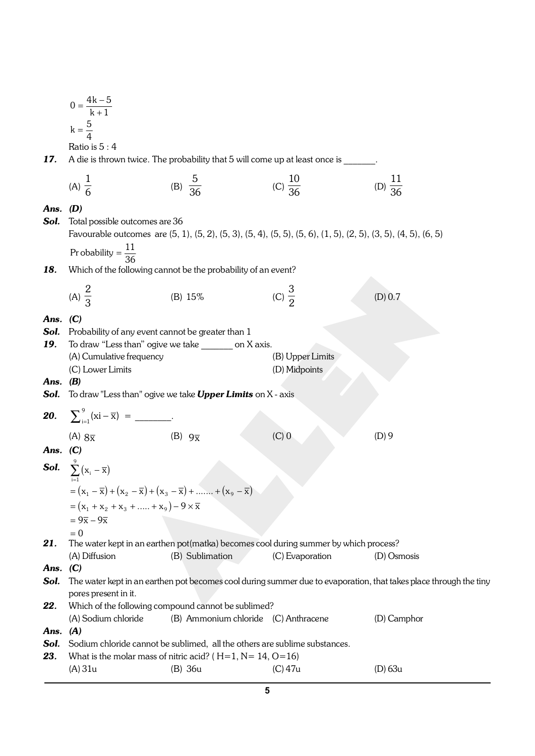|              | $\frac{4k-5}{k-1}$<br>$\boldsymbol{0}$                                                |                                                                                                                                                  |                                                                                                                                                |                                                                                                                   |
|--------------|---------------------------------------------------------------------------------------|--------------------------------------------------------------------------------------------------------------------------------------------------|------------------------------------------------------------------------------------------------------------------------------------------------|-------------------------------------------------------------------------------------------------------------------|
|              | k $\frac{5}{4}$                                                                       |                                                                                                                                                  |                                                                                                                                                |                                                                                                                   |
|              | Ratio is $5:4$                                                                        |                                                                                                                                                  |                                                                                                                                                |                                                                                                                   |
| 17.          |                                                                                       | A die is thrown twice. The probability that 5 will come up at least once is                                                                      |                                                                                                                                                |                                                                                                                   |
|              | (A) $\frac{1}{6}$                                                                     | (B) $\frac{5}{36}$                                                                                                                               | (C) $\frac{10}{36}$                                                                                                                            | (D) $\frac{11}{36}$                                                                                               |
| Ans.<br>Sol. | (D)<br>Total possible outcomes are 36                                                 |                                                                                                                                                  |                                                                                                                                                |                                                                                                                   |
|              |                                                                                       |                                                                                                                                                  | Favourable outcomes are $(5, 1)$ , $(5, 2)$ , $(5, 3)$ , $(5, 4)$ , $(5, 5)$ , $(5, 6)$ , $(1, 5)$ , $(2, 5)$ , $(3, 5)$ , $(4, 5)$ , $(6, 5)$ |                                                                                                                   |
|              | $\frac{11}{36}$<br>Pr obability                                                       |                                                                                                                                                  |                                                                                                                                                |                                                                                                                   |
| 18.          |                                                                                       | Which of the following cannot be the probability of an event?                                                                                    |                                                                                                                                                |                                                                                                                   |
|              | (A) $\frac{2}{3}$                                                                     | (B) 15%                                                                                                                                          | (C) $\frac{3}{2}$                                                                                                                              | (D) 0.7                                                                                                           |
| Ans.<br>Sol. | (C)<br>Probability of any event cannot be greater than 1                              |                                                                                                                                                  |                                                                                                                                                |                                                                                                                   |
| 19.          |                                                                                       | To draw "Less than" ogive we take ________ on X axis.                                                                                            |                                                                                                                                                |                                                                                                                   |
|              | (A) Cumulative frequency                                                              |                                                                                                                                                  | (B) Upper Limits                                                                                                                               |                                                                                                                   |
| Ans.         | (C) Lower Limits<br>(B)                                                               |                                                                                                                                                  | (D) Midpoints                                                                                                                                  |                                                                                                                   |
| Sol.         |                                                                                       | To draw "Less than" ogive we take Upper Limits on X - axis                                                                                       |                                                                                                                                                |                                                                                                                   |
|              | <b>20.</b> $\sum_{i=1}^{9} (xi - \overline{x}) =$ __________.                         |                                                                                                                                                  |                                                                                                                                                |                                                                                                                   |
|              | (A) $8\overline{x}$                                                                   | (B) $9\overline{x}$                                                                                                                              | $(C)$ <sup><math>0</math></sup>                                                                                                                | (D)9                                                                                                              |
| Ans. $(C)$   |                                                                                       |                                                                                                                                                  |                                                                                                                                                |                                                                                                                   |
|              | <b>Sol.</b> $\sum_{i=1}^{9} x_i - \overline{x}$                                       |                                                                                                                                                  |                                                                                                                                                |                                                                                                                   |
|              | $= X_1 - \overline{X} + X_2 - \overline{X} + X_3 - \overline{X}$                      | $X_9 - \overline{X}$                                                                                                                             |                                                                                                                                                |                                                                                                                   |
|              | $x_1$ $x_2$ $x_3$ $x_9$ $-9 \times \overline{x}$<br>$= 9\overline{x} - 9\overline{x}$ |                                                                                                                                                  |                                                                                                                                                |                                                                                                                   |
|              | $\overline{0}$                                                                        |                                                                                                                                                  |                                                                                                                                                |                                                                                                                   |
| 21.          | (A) Diffusion                                                                         | (B) Sublimation                                                                                                                                  | The water kept in an earthen pot(matka) becomes cool during summer by which process?<br>(C) Evaporation                                        | (D) Osmosis                                                                                                       |
| Ans. $(C)$   |                                                                                       |                                                                                                                                                  |                                                                                                                                                |                                                                                                                   |
| Sol.         | pores present in it.                                                                  |                                                                                                                                                  |                                                                                                                                                | The water kept in an earthen pot becomes cool during summer due to evaporation, that takes place through the tiny |
| 22.          |                                                                                       | Which of the following compound cannot be sublimed?                                                                                              |                                                                                                                                                |                                                                                                                   |
|              | (A) Sodium chloride                                                                   | (B) Ammonium chloride (C) Anthracene                                                                                                             |                                                                                                                                                | (D) Camphor                                                                                                       |
| Ans.         | (A)                                                                                   |                                                                                                                                                  |                                                                                                                                                |                                                                                                                   |
| Sol.<br>23.  |                                                                                       | Sodium chloride cannot be sublimed, all the others are sublime substances.<br>What is the molar mass of nitric acid? ( $H=1$ , $N=14$ , $O=16$ ) |                                                                                                                                                |                                                                                                                   |
|              | (A) 31u                                                                               | (B) 36u                                                                                                                                          | $(C)$ 47u                                                                                                                                      | $(D)$ 63 $u$                                                                                                      |
|              |                                                                                       |                                                                                                                                                  |                                                                                                                                                |                                                                                                                   |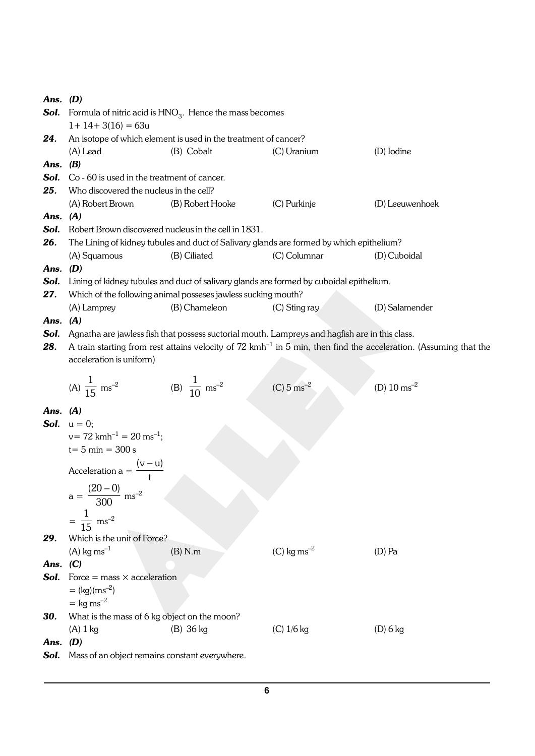| Ans. $(D)$ |                                                    |                                                                       |                                                                                                |                                                                                                                               |  |  |
|------------|----------------------------------------------------|-----------------------------------------------------------------------|------------------------------------------------------------------------------------------------|-------------------------------------------------------------------------------------------------------------------------------|--|--|
|            |                                                    | <b>Sol.</b> Formula of nitric acid is $HNO3$ . Hence the mass becomes |                                                                                                |                                                                                                                               |  |  |
|            | $1+14+3(16)=63u$                                   |                                                                       |                                                                                                |                                                                                                                               |  |  |
| 24.        |                                                    | An isotope of which element is used in the treatment of cancer?       |                                                                                                |                                                                                                                               |  |  |
|            | (A) Lead                                           | (B) Cobalt                                                            | (C) Uranium                                                                                    | (D) Iodine                                                                                                                    |  |  |
| Ans.       | (B)                                                |                                                                       |                                                                                                |                                                                                                                               |  |  |
| Sol.       | Co - 60 is used in the treatment of cancer.        |                                                                       |                                                                                                |                                                                                                                               |  |  |
| 25.        | Who discovered the nucleus in the cell?            |                                                                       |                                                                                                |                                                                                                                               |  |  |
|            | (A) Robert Brown                                   | (B) Robert Hooke                                                      | (C) Purkinje                                                                                   | (D) Leeuwenhoek                                                                                                               |  |  |
| Ans. (A)   |                                                    |                                                                       |                                                                                                |                                                                                                                               |  |  |
| Sol.       |                                                    | Robert Brown discovered nucleus in the cell in 1831.                  |                                                                                                |                                                                                                                               |  |  |
| 26.        |                                                    |                                                                       | The Lining of kidney tubules and duct of Salivary glands are formed by which epithelium?       |                                                                                                                               |  |  |
|            | (A) Squamous                                       | (B) Ciliated                                                          | (C) Columnar                                                                                   | (D) Cuboidal                                                                                                                  |  |  |
| Ans.       | (D)                                                |                                                                       |                                                                                                |                                                                                                                               |  |  |
| Sol.       |                                                    |                                                                       | Lining of kidney tubules and duct of salivary glands are formed by cuboidal epithelium.        |                                                                                                                               |  |  |
| 27.        |                                                    | Which of the following animal posseses jawless sucking mouth?         |                                                                                                |                                                                                                                               |  |  |
|            | (A) Lamprey                                        | (B) Chameleon                                                         | $(C)$ Sting ray                                                                                | (D) Salamender                                                                                                                |  |  |
| Ans.       | (A)                                                |                                                                       |                                                                                                |                                                                                                                               |  |  |
| Sol.       |                                                    |                                                                       | Agnatha are jawless fish that possess suctorial mouth. Lampreys and hagfish are in this class. |                                                                                                                               |  |  |
| 28.        |                                                    |                                                                       |                                                                                                | A train starting from rest attains velocity of $72 \text{ kmh}^{-1}$ in 5 min, then find the acceleration. (Assuming that the |  |  |
|            | acceleration is uniform)                           |                                                                       |                                                                                                |                                                                                                                               |  |  |
|            |                                                    |                                                                       |                                                                                                |                                                                                                                               |  |  |
|            | (A) $\frac{1}{15}$ ms <sup>-2</sup>                | (B) $\frac{1}{10}$ ms <sup>-2</sup>                                   | $(C) 5 ms-2$                                                                                   | (D) $10 \text{ ms}^{-2}$                                                                                                      |  |  |
|            |                                                    |                                                                       |                                                                                                |                                                                                                                               |  |  |
| Ans.       | (A)                                                |                                                                       |                                                                                                |                                                                                                                               |  |  |
|            | <b>Sol.</b> $u = 0$ ;                              |                                                                       |                                                                                                |                                                                                                                               |  |  |
|            | $v = 72$ kmh <sup>-1</sup> = 20 ms <sup>-1</sup> ; |                                                                       |                                                                                                |                                                                                                                               |  |  |
|            | $t = 5$ min = 300 s                                |                                                                       |                                                                                                |                                                                                                                               |  |  |
|            |                                                    |                                                                       |                                                                                                |                                                                                                                               |  |  |
|            | Acceleration a = $\frac{(v-u)}{t}$                 |                                                                       |                                                                                                |                                                                                                                               |  |  |
|            |                                                    |                                                                       |                                                                                                |                                                                                                                               |  |  |
|            | $a = \frac{(20-0)}{300}$ ms <sup>-2</sup>          |                                                                       |                                                                                                |                                                                                                                               |  |  |
|            |                                                    |                                                                       |                                                                                                |                                                                                                                               |  |  |
|            | $=\frac{1}{15}$ ms <sup>-2</sup>                   |                                                                       |                                                                                                |                                                                                                                               |  |  |
| 29.        | Which is the unit of Force?                        |                                                                       |                                                                                                |                                                                                                                               |  |  |
|            | $(A)$ kg ms <sup>-1</sup>                          | (B) N.m                                                               | $(C)$ kg ms <sup>-2</sup>                                                                      | $(D)$ Pa                                                                                                                      |  |  |
| Ans.       | (C)                                                |                                                                       |                                                                                                |                                                                                                                               |  |  |
| Sol.       | Force = mass $\times$ acceleration                 |                                                                       |                                                                                                |                                                                                                                               |  |  |
|            | $=$ (kg)(ms <sup>-2</sup> )                        |                                                                       |                                                                                                |                                                                                                                               |  |  |
|            | $=$ kg ms <sup>-2</sup>                            |                                                                       |                                                                                                |                                                                                                                               |  |  |
| 30.        | What is the mass of 6 kg object on the moon?       |                                                                       |                                                                                                |                                                                                                                               |  |  |
|            |                                                    |                                                                       | $(C)$ 1/6 kg                                                                                   |                                                                                                                               |  |  |
|            | $(A)$ 1 kg                                         | $(B)$ 36 kg                                                           |                                                                                                | $(D)$ 6 kg                                                                                                                    |  |  |
| Ans. $(D)$ |                                                    |                                                                       |                                                                                                |                                                                                                                               |  |  |
| Sol.       | Mass of an object remains constant everywhere.     |                                                                       |                                                                                                |                                                                                                                               |  |  |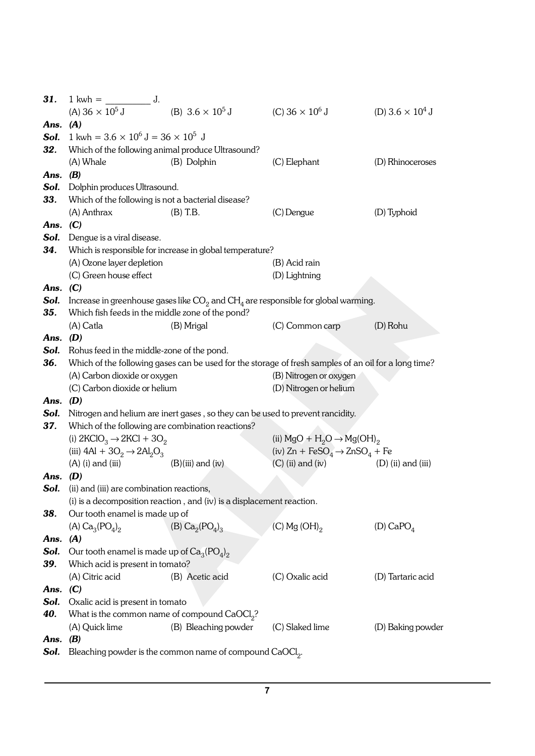| 31.        | $\frac{1}{\sqrt{1-\frac{1}{2}}}\int$<br>$1$ kwh $=$                            |                                                                                |                                                                                                           |                                    |
|------------|--------------------------------------------------------------------------------|--------------------------------------------------------------------------------|-----------------------------------------------------------------------------------------------------------|------------------------------------|
|            | (A) $36 \times 10^5$ J                                                         | (B) $3.6 \times 10^5$ J                                                        | (C) $36 \times 10^6$ J                                                                                    | (D) 3.6 $\times$ 10 <sup>4</sup> J |
| Ans. $(A)$ |                                                                                |                                                                                |                                                                                                           |                                    |
|            | <b>Sol.</b> 1 kwh = $3.6 \times 10^6$ J = $36 \times 10^5$ J                   |                                                                                |                                                                                                           |                                    |
| 32.        |                                                                                | Which of the following animal produce Ultrasound?                              |                                                                                                           |                                    |
|            | (A) Whale                                                                      | (B) Dolphin                                                                    | (C) Elephant                                                                                              | (D) Rhinoceroses                   |
| Ans. $(B)$ |                                                                                |                                                                                |                                                                                                           |                                    |
| Sol.       | Dolphin produces Ultrasound.                                                   |                                                                                |                                                                                                           |                                    |
| 33.        | Which of the following is not a bacterial disease?                             |                                                                                |                                                                                                           |                                    |
|            | (A) Anthrax                                                                    | $(B)$ T.B.                                                                     | (C) Dengue                                                                                                | (D) Typhoid                        |
| Ans. $(C)$ |                                                                                |                                                                                |                                                                                                           |                                    |
| Sol.       | Dengue is a viral disease.                                                     |                                                                                |                                                                                                           |                                    |
| 34.        |                                                                                | Which is responsible for increase in global temperature?                       |                                                                                                           |                                    |
|            | (A) Ozone layer depletion                                                      |                                                                                | (B) Acid rain                                                                                             |                                    |
|            | (C) Green house effect                                                         |                                                                                | (D) Lightning                                                                                             |                                    |
| Ans. $(C)$ |                                                                                |                                                                                |                                                                                                           |                                    |
| Sol.       |                                                                                |                                                                                | Increase in greenhouse gases like $\mathrm{CO}_2$ and $\mathrm{CH}_4$ are responsible for global warming. |                                    |
| 35.        | Which fish feeds in the middle zone of the pond?                               |                                                                                |                                                                                                           |                                    |
|            | (A) Catla                                                                      | (B) Mrigal                                                                     | (C) Common carp                                                                                           | (D) Rohu                           |
| Ans. $(D)$ |                                                                                |                                                                                |                                                                                                           |                                    |
| Sol.       | Rohus feed in the middle-zone of the pond.                                     |                                                                                |                                                                                                           |                                    |
| 36.        |                                                                                |                                                                                | Which of the following gases can be used for the storage of fresh samples of an oil for a long time?      |                                    |
|            | (A) Carbon dioxide or oxygen                                                   |                                                                                | (B) Nitrogen or oxygen                                                                                    |                                    |
|            | (C) Carbon dioxide or helium                                                   |                                                                                | (D) Nitrogen or helium                                                                                    |                                    |
| Ans. $(D)$ |                                                                                |                                                                                |                                                                                                           |                                    |
| Sol.       |                                                                                | Nitrogen and helium are inert gases, so they can be used to prevent rancidity. |                                                                                                           |                                    |
| 37.        |                                                                                | Which of the following are combination reactions?                              |                                                                                                           |                                    |
|            | (i) $2KClO3 \rightarrow 2KCl + 3O2$                                            |                                                                                | (ii) $MgO + H_2O \rightarrow Mg(OH)_2$                                                                    |                                    |
|            | (iii) $4\text{Al} + 3\text{O}_2 \rightarrow 2\text{Al}_2\text{O}_3$            |                                                                                | (iv) $Zn + FeSO_4 \rightarrow ZnSO_4 + Fe$                                                                |                                    |
|            | $(A)$ (i) and (iii)                                                            | $(B)(iii)$ and $(iv)$                                                          | $(C)$ (ii) and (iv)                                                                                       | $(D)$ (ii) and (iii)               |
| Ans. $(D)$ |                                                                                |                                                                                |                                                                                                           |                                    |
| Sol.       | (ii) and (iii) are combination reactions,                                      |                                                                                |                                                                                                           |                                    |
|            |                                                                                | (i) is a decomposition reaction, and (iv) is a displacement reaction.          |                                                                                                           |                                    |
| 38.        | Our tooth enamel is made up of                                                 |                                                                                |                                                                                                           | (D) $CaPO4$                        |
| Ans. $(A)$ | (A) $Ca_3(PO_4)_2$                                                             | (B) $Ca_2(PO_4)_3$                                                             | $(C)$ Mg $(OH)_{2}$                                                                                       |                                    |
| Sol.       |                                                                                |                                                                                |                                                                                                           |                                    |
| 39.        | Our tooth enamel is made up of $Ca3(PO4)2$<br>Which acid is present in tomato? |                                                                                |                                                                                                           |                                    |
|            | (A) Citric acid                                                                | (B) Acetic acid                                                                | (C) Oxalic acid                                                                                           | (D) Tartaric acid                  |
| Ans. $(C)$ |                                                                                |                                                                                |                                                                                                           |                                    |
| Sol.       | Oxalic acid is present in tomato                                               |                                                                                |                                                                                                           |                                    |
| 40.        |                                                                                | What is the common name of compound CaOCl <sub>2</sub> ?                       |                                                                                                           |                                    |
|            | (A) Quick lime                                                                 | (B) Bleaching powder                                                           | (C) Slaked lime                                                                                           | (D) Baking powder                  |
| Ans.       | (B)                                                                            |                                                                                |                                                                                                           |                                    |
| Sol.       |                                                                                | Bleaching powder is the common name of compound CaOCl <sub>2</sub> .           |                                                                                                           |                                    |
|            |                                                                                |                                                                                |                                                                                                           |                                    |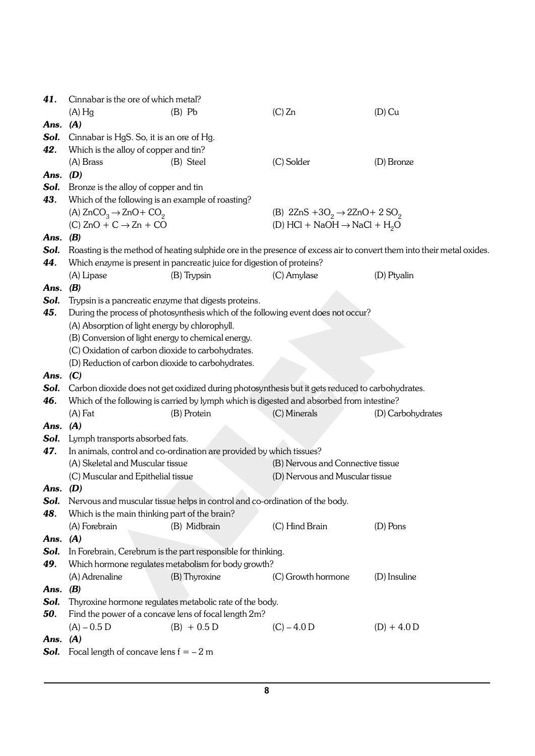| 41.        | Cinnabar is the ore of which metal?                   |                                                                             |                                                                                                  |                                                                                                                       |
|------------|-------------------------------------------------------|-----------------------------------------------------------------------------|--------------------------------------------------------------------------------------------------|-----------------------------------------------------------------------------------------------------------------------|
|            | $(A)$ Hg                                              | $(B)$ Pb                                                                    | $(C)$ Zn                                                                                         | $(D)$ Cu                                                                                                              |
| Ans.       | (A)                                                   |                                                                             |                                                                                                  |                                                                                                                       |
| Sol.       | Cinnabar is HgS. So, it is an ore of Hg.              |                                                                             |                                                                                                  |                                                                                                                       |
| 42.        | Which is the alloy of copper and tin?                 |                                                                             |                                                                                                  |                                                                                                                       |
|            | (A) Brass                                             | (B) Steel                                                                   | (C) Solder                                                                                       | (D) Bronze                                                                                                            |
| Ans.       | (D)                                                   |                                                                             |                                                                                                  |                                                                                                                       |
| Sol.       | Bronze is the alloy of copper and tin                 |                                                                             |                                                                                                  |                                                                                                                       |
| 43.        | Which of the following is an example of roasting?     |                                                                             |                                                                                                  |                                                                                                                       |
|            | (A) $ZnCO3 \rightarrow ZnO + CO2$                     |                                                                             | (B) $2\text{ZnS} + 3\text{O}_2 \rightarrow 2\text{ZnO} + 2\text{SO}_2$                           |                                                                                                                       |
|            | $(C) ZnO + C \rightarrow Zn + CO$                     |                                                                             | (D) HCl + NaOH $\rightarrow$ NaCl + H <sub>2</sub> O                                             |                                                                                                                       |
| Ans.       | (B)                                                   |                                                                             |                                                                                                  |                                                                                                                       |
| Sol.       |                                                       |                                                                             |                                                                                                  | Roasting is the method of heating sulphide ore in the presence of excess air to convert them into their metal oxides. |
| 44.        |                                                       | Which enzyme is present in pancreatic juice for digestion of proteins?      |                                                                                                  |                                                                                                                       |
|            | (A) Lipase                                            | (B) Trypsin                                                                 | (C) Amylase                                                                                      | (D) Ptyalin                                                                                                           |
| Ans.       | (B)                                                   |                                                                             |                                                                                                  |                                                                                                                       |
| Sol.       | Trypsin is a pancreatic enzyme that digests proteins. |                                                                             |                                                                                                  |                                                                                                                       |
| 45.        |                                                       |                                                                             | During the process of photosynthesis which of the following event does not occur?                |                                                                                                                       |
|            | (A) Absorption of light energy by chlorophyll.        |                                                                             |                                                                                                  |                                                                                                                       |
|            | (B) Conversion of light energy to chemical energy.    |                                                                             |                                                                                                  |                                                                                                                       |
|            | (C) Oxidation of carbon dioxide to carbohydrates.     |                                                                             |                                                                                                  |                                                                                                                       |
|            | (D) Reduction of carbon dioxide to carbohydrates.     |                                                                             |                                                                                                  |                                                                                                                       |
| Ans.       | (C)                                                   |                                                                             |                                                                                                  |                                                                                                                       |
| Sol.       |                                                       |                                                                             | Carbon dioxide does not get oxidized during photosynthesis but it gets reduced to carbohydrates. |                                                                                                                       |
| 46.        |                                                       |                                                                             | Which of the following is carried by lymph which is digested and absorbed from intestine?        |                                                                                                                       |
|            | $(A)$ Fat                                             | (B) Protein                                                                 | (C) Minerals                                                                                     | (D) Carbohydrates                                                                                                     |
| Ans.       | (A)                                                   |                                                                             |                                                                                                  |                                                                                                                       |
| Sol.       | Lymph transports absorbed fats.                       |                                                                             |                                                                                                  |                                                                                                                       |
| 47.        |                                                       | In animals, control and co-ordination are provided by which tissues?        |                                                                                                  |                                                                                                                       |
|            | (A) Skeletal and Muscular tissue                      |                                                                             | (B) Nervous and Connective tissue                                                                |                                                                                                                       |
|            | (C) Muscular and Epithelial tissue                    |                                                                             | (D) Nervous and Muscular tissue                                                                  |                                                                                                                       |
| Ans. $(D)$ |                                                       |                                                                             |                                                                                                  |                                                                                                                       |
| Sol.       |                                                       | Nervous and muscular tissue helps in control and co-ordination of the body. |                                                                                                  |                                                                                                                       |
| 48.        | Which is the main thinking part of the brain?         |                                                                             |                                                                                                  |                                                                                                                       |
|            | (A) Forebrain                                         | (B) Midbrain                                                                | (C) Hind Brain                                                                                   | $(D)$ Pons                                                                                                            |
| Ans.       | (A)                                                   |                                                                             |                                                                                                  |                                                                                                                       |
| Sol.       |                                                       | In Forebrain, Cerebrum is the part responsible for thinking.                |                                                                                                  |                                                                                                                       |
| 49.        |                                                       | Which hormone regulates metabolism for body growth?                         |                                                                                                  |                                                                                                                       |
|            | (A) Adrenaline                                        | (B) Thyroxine                                                               | (C) Growth hormone                                                                               | (D) Insuline                                                                                                          |
| Ans.       | (B)                                                   |                                                                             |                                                                                                  |                                                                                                                       |
| Sol.       |                                                       | Thyroxine hormone regulates metabolic rate of the body.                     |                                                                                                  |                                                                                                                       |
| 50.        |                                                       | Find the power of a concave lens of focal length 2m?                        |                                                                                                  |                                                                                                                       |
|            | $(A) - 0.5 D$                                         | $(B) + 0.5 D$                                                               | $(C) - 4.0 D$                                                                                    | $(D) + 4.0 D$                                                                                                         |
| Ans.       | (A)                                                   |                                                                             |                                                                                                  |                                                                                                                       |
| Sol.       | Focal length of concave lens $f = -2m$                |                                                                             |                                                                                                  |                                                                                                                       |
|            |                                                       |                                                                             |                                                                                                  |                                                                                                                       |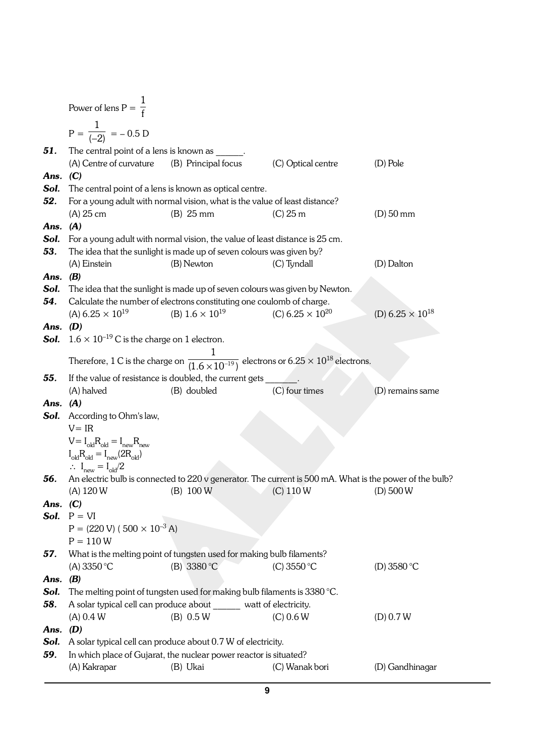|            | Power of lens $P = \frac{1}{f}$                                                                                                            |                                                                                   |                                                                                                                          |                           |
|------------|--------------------------------------------------------------------------------------------------------------------------------------------|-----------------------------------------------------------------------------------|--------------------------------------------------------------------------------------------------------------------------|---------------------------|
|            | $P = \frac{1}{(-2)} = -0.5 D$                                                                                                              |                                                                                   |                                                                                                                          |                           |
| 51.        | The central point of a lens is known as                                                                                                    |                                                                                   |                                                                                                                          |                           |
|            | (A) Centre of curvature                                                                                                                    | (B) Principal focus                                                               | (C) Optical centre                                                                                                       | $(D)$ Pole                |
| Ans.       | (C)                                                                                                                                        |                                                                                   |                                                                                                                          |                           |
| Sol.       |                                                                                                                                            | The central point of a lens is known as optical centre.                           |                                                                                                                          |                           |
| 52.        |                                                                                                                                            | For a young adult with normal vision, what is the value of least distance?        |                                                                                                                          |                           |
|            | $(A)$ 25 cm                                                                                                                                | $(B)$ 25 mm                                                                       | $(C)$ 25 m                                                                                                               | $(D)$ 50 mm               |
| Ans.       | (A)                                                                                                                                        |                                                                                   |                                                                                                                          |                           |
| Sol.       |                                                                                                                                            | For a young adult with normal vision, the value of least distance is 25 cm.       |                                                                                                                          |                           |
| 53.        |                                                                                                                                            | The idea that the sunlight is made up of seven colours was given by?              |                                                                                                                          |                           |
|            | (A) Einstein                                                                                                                               | (B) Newton                                                                        | (C) Tyndall                                                                                                              | (D) Dalton                |
| Ans.       | (B)                                                                                                                                        |                                                                                   |                                                                                                                          |                           |
| Sol.       |                                                                                                                                            | The idea that the sunlight is made up of seven colours was given by Newton.       |                                                                                                                          |                           |
| 54.        |                                                                                                                                            | Calculate the number of electrons constituting one coulomb of charge.             |                                                                                                                          |                           |
|            | (A) $6.25 \times 10^{19}$                                                                                                                  | (B) $1.6 \times 10^{19}$                                                          | (C) $6.25 \times 10^{20}$                                                                                                | (D) $6.25 \times 10^{18}$ |
| Ans. $(D)$ |                                                                                                                                            |                                                                                   |                                                                                                                          |                           |
| Sol.       | $1.6 \times 10^{-19}$ C is the charge on 1 electron.                                                                                       |                                                                                   |                                                                                                                          |                           |
|            |                                                                                                                                            |                                                                                   |                                                                                                                          |                           |
|            |                                                                                                                                            |                                                                                   | Therefore, 1 C is the charge on $\frac{1}{(1.6 \times 10^{-19})}$ electrons or 6.25 $\times$ 10 <sup>18</sup> electrons. |                           |
| 55.        |                                                                                                                                            | If the value of resistance is doubled, the current gets _                         |                                                                                                                          |                           |
|            | (A) halved                                                                                                                                 | (B) doubled                                                                       | (C) four times                                                                                                           | (D) remains same          |
| Ans.       | (A)                                                                                                                                        |                                                                                   |                                                                                                                          |                           |
| Sol.       | According to Ohm's law,                                                                                                                    |                                                                                   |                                                                                                                          |                           |
|            |                                                                                                                                            |                                                                                   |                                                                                                                          |                           |
|            | $V = IR$                                                                                                                                   |                                                                                   |                                                                                                                          |                           |
|            |                                                                                                                                            |                                                                                   |                                                                                                                          |                           |
|            | $V = I_{old}R_{old} = I_{new}R_{new}$                                                                                                      |                                                                                   |                                                                                                                          |                           |
|            | $\textnormal{I}_{\textnormal{old}}\textnormal{R}_{\textnormal{old}}=\textnormal{I}_{\textnormal{new}}(2\textnormal{R}_{\textnormal{old}})$ |                                                                                   |                                                                                                                          |                           |
| 56.        | $\therefore I_{\text{new}} = I_{\text{old}}/2$                                                                                             |                                                                                   |                                                                                                                          |                           |
|            | $(A)$ 120 W                                                                                                                                | (B) 100 W                                                                         | An electric bulb is connected to 220 v generator. The current is 500 mA. What is the power of the bulb?<br>$(C)$ 110 W   | $(D)$ 500 W               |
| Ans. $(C)$ |                                                                                                                                            |                                                                                   |                                                                                                                          |                           |
|            | Sol. $P = VI$                                                                                                                              |                                                                                   |                                                                                                                          |                           |
|            | $P = (220 V) (500 \times 10^{-3} A)$                                                                                                       |                                                                                   |                                                                                                                          |                           |
|            | $P = 110 W$                                                                                                                                |                                                                                   |                                                                                                                          |                           |
| 57.        |                                                                                                                                            | What is the melting point of tungsten used for making bulb filaments?             |                                                                                                                          |                           |
|            | (A) $3350^{\circ}$ C                                                                                                                       | (B) 3380 °C                                                                       | (C) 3550 °C                                                                                                              | (D) $3580 °C$             |
| Ans. $(B)$ |                                                                                                                                            |                                                                                   |                                                                                                                          |                           |
| Sol.       |                                                                                                                                            | The melting point of tungsten used for making bulb filaments is $3380^{\circ}$ C. |                                                                                                                          |                           |
| 58.        |                                                                                                                                            | A solar typical cell can produce about watt of electricity.                       |                                                                                                                          |                           |
|            | (A) 0.4 W                                                                                                                                  | (B) 0.5 W                                                                         | $(C)$ 0.6 W                                                                                                              | (D) 0.7 W                 |
| Ans.       | (D)                                                                                                                                        |                                                                                   |                                                                                                                          |                           |
| Sol.       |                                                                                                                                            | A solar typical cell can produce about 0.7 W of electricity.                      |                                                                                                                          |                           |
| 59.        | (A) Kakrapar                                                                                                                               | In which place of Gujarat, the nuclear power reactor is situated?                 |                                                                                                                          |                           |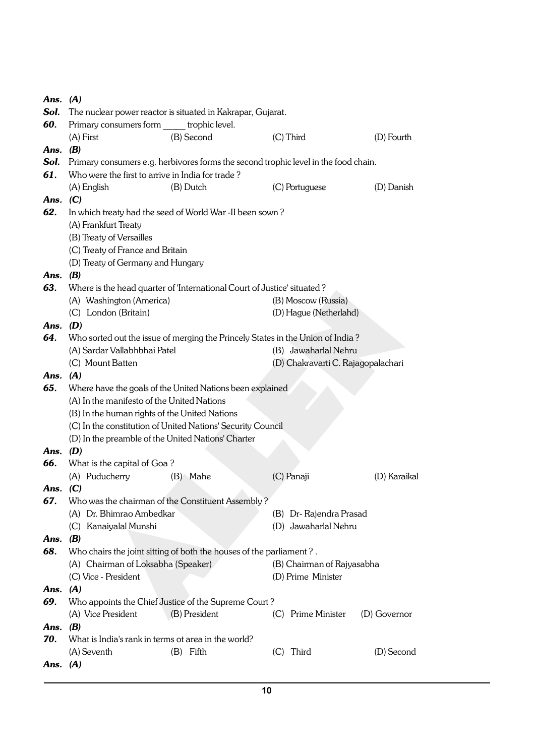| Ans. $(A)$ |                                                     |                                                                                     |     |                                    |              |
|------------|-----------------------------------------------------|-------------------------------------------------------------------------------------|-----|------------------------------------|--------------|
| Sol.       |                                                     | The nuclear power reactor is situated in Kakrapar, Gujarat.                         |     |                                    |              |
| 60.        | Primary consumers form ______ trophic level.        |                                                                                     |     |                                    |              |
|            | $(A)$ First                                         | (B) Second                                                                          |     | (C) Third                          | (D) Fourth   |
| Ans. $(B)$ |                                                     |                                                                                     |     |                                    |              |
| Sol.       |                                                     | Primary consumers e.g. herbivores forms the second trophic level in the food chain. |     |                                    |              |
| 61.        | Who were the first to arrive in India for trade?    |                                                                                     |     |                                    |              |
|            | (A) English                                         | (B) Dutch                                                                           |     | (C) Portuguese                     | (D) Danish   |
| Ans. $(C)$ |                                                     |                                                                                     |     |                                    |              |
| 62.        |                                                     | In which treaty had the seed of World War -II been sown?                            |     |                                    |              |
|            | (A) Frankfurt Treaty                                |                                                                                     |     |                                    |              |
|            | (B) Treaty of Versailles                            |                                                                                     |     |                                    |              |
|            | (C) Treaty of France and Britain                    |                                                                                     |     |                                    |              |
|            | (D) Treaty of Germany and Hungary                   |                                                                                     |     |                                    |              |
| Ans. $(B)$ |                                                     |                                                                                     |     |                                    |              |
| 63.        |                                                     | Where is the head quarter of 'International Court of Justice' situated?             |     |                                    |              |
|            | (A) Washington (America)                            |                                                                                     |     | (B) Moscow (Russia)                |              |
|            | (C) London (Britain)                                |                                                                                     |     | (D) Hague (Netherlahd)             |              |
| Ans. $(D)$ |                                                     |                                                                                     |     |                                    |              |
| 64.        |                                                     | Who sorted out the issue of merging the Princely States in the Union of India?      |     |                                    |              |
|            | (A) Sardar Vallabhbhai Patel                        |                                                                                     |     | (B) Jawaharlal Nehru               |              |
|            | (C) Mount Batten                                    |                                                                                     |     | (D) Chakravarti C. Rajagopalachari |              |
| Ans. $(A)$ |                                                     |                                                                                     |     |                                    |              |
| 65.        |                                                     | Where have the goals of the United Nations been explained                           |     |                                    |              |
|            | (A) In the manifesto of the United Nations          |                                                                                     |     |                                    |              |
|            | (B) In the human rights of the United Nations       |                                                                                     |     |                                    |              |
|            |                                                     | (C) In the constitution of United Nations' Security Council                         |     |                                    |              |
|            | (D) In the preamble of the United Nations' Charter  |                                                                                     |     |                                    |              |
| Ans. $(D)$ |                                                     |                                                                                     |     |                                    |              |
| 66.        | What is the capital of Goa?                         |                                                                                     |     |                                    |              |
|            | (A) Puducherry                                      | (B) Mahe                                                                            |     | (C) Panaji                         | (D) Karaikal |
| Ans. $(C)$ |                                                     |                                                                                     |     |                                    |              |
| 67.        |                                                     | Who was the chairman of the Constituent Assembly?                                   |     |                                    |              |
|            | (A) Dr. Bhimrao Ambedkar                            |                                                                                     |     | (B) Dr-Rajendra Prasad             |              |
|            | (C) Kanaiyalal Munshi                               |                                                                                     |     | (D) Jawaharlal Nehru               |              |
| Ans.       | (B)                                                 |                                                                                     |     |                                    |              |
| 68.        |                                                     | Who chairs the joint sitting of both the houses of the parliament?.                 |     |                                    |              |
|            | (A) Chairman of Loksabha (Speaker)                  |                                                                                     |     | (B) Chairman of Rajyasabha         |              |
|            | (C) Vice - President                                |                                                                                     |     | (D) Prime Minister                 |              |
| Ans. $(A)$ |                                                     |                                                                                     |     |                                    |              |
| 69.        |                                                     | Who appoints the Chief Justice of the Supreme Court?                                |     |                                    |              |
|            | (A) Vice President                                  | (B) President                                                                       | (C) | Prime Minister                     | (D) Governor |
| Ans. $(B)$ |                                                     |                                                                                     |     |                                    |              |
| 70.        | What is India's rank in terms ot area in the world? |                                                                                     |     |                                    |              |
|            | (A) Seventh                                         | $(B)$ Fifth                                                                         | (C) | Third                              | (D) Second   |
| Ans. $(A)$ |                                                     |                                                                                     |     |                                    |              |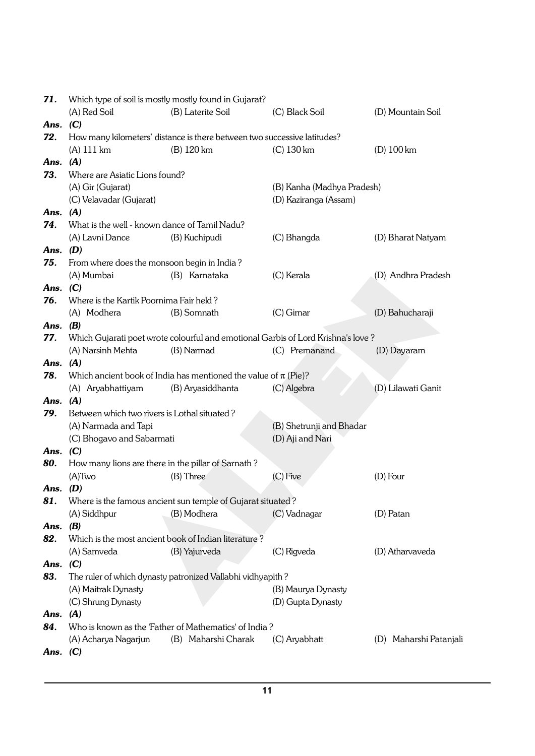| Which type of soil is mostly mostly found in Gujarat?<br>71. |                                                    |                                                                                  |                            |                        |
|--------------------------------------------------------------|----------------------------------------------------|----------------------------------------------------------------------------------|----------------------------|------------------------|
|                                                              | (A) Red Soil                                       | (B) Laterite Soil                                                                | (C) Black Soil             | (D) Mountain Soil      |
| Ans.                                                         | (C)                                                |                                                                                  |                            |                        |
| 72.                                                          |                                                    | How many kilometers' distance is there between two successive latitudes?         |                            |                        |
|                                                              | (A) 111 km                                         | (B) 120 km                                                                       | $(C)$ 130 km               | $(D)$ 100 km           |
| Ans. $(A)$                                                   |                                                    |                                                                                  |                            |                        |
| 73.                                                          | Where are Asiatic Lions found?                     |                                                                                  |                            |                        |
|                                                              | (A) Gir (Gujarat)                                  |                                                                                  | (B) Kanha (Madhya Pradesh) |                        |
|                                                              | (C) Velavadar (Gujarat)                            |                                                                                  | (D) Kaziranga (Assam)      |                        |
| Ans.                                                         | (A)                                                |                                                                                  |                            |                        |
| 74.                                                          | What is the well - known dance of Tamil Nadu?      |                                                                                  |                            |                        |
|                                                              | (A) Lavni Dance                                    | (B) Kuchipudi                                                                    | (C) Bhangda                | (D) Bharat Natyam      |
| Ans.                                                         | (D)                                                |                                                                                  |                            |                        |
| 75.                                                          | From where does the monsoon begin in India?        |                                                                                  |                            |                        |
|                                                              | (A) Mumbai                                         | (B) Karnataka                                                                    | (C) Kerala                 | (D) Andhra Pradesh     |
| Ans.                                                         | (C)                                                |                                                                                  |                            |                        |
| 76.                                                          | Where is the Kartik Poornima Fair held?            |                                                                                  |                            |                        |
|                                                              | (A) Modhera                                        | (B) Somnath                                                                      | $(C)$ Girnar               | (D) Bahucharaji        |
| Ans.                                                         | (B)                                                |                                                                                  |                            |                        |
| 77.                                                          |                                                    | Which Gujarati poet wrote colourful and emotional Garbis of Lord Krishna's love? |                            |                        |
|                                                              | (A) Narsinh Mehta                                  | (B) Narmad                                                                       | (C) Premanand              | (D) Dayaram            |
| Ans.                                                         | (A)                                                |                                                                                  |                            |                        |
| 78.                                                          |                                                    | Which ancient book of India has mentioned the value of $\pi$ (Pie)?              |                            |                        |
|                                                              | (A) Aryabhattiyam                                  | (B) Aryasiddhanta                                                                | (C) Algebra                | (D) Lilawati Ganit     |
| Ans.                                                         | (A)                                                |                                                                                  |                            |                        |
| 79.                                                          | Between which two rivers is Lothal situated?       |                                                                                  |                            |                        |
|                                                              | (A) Narmada and Tapi                               |                                                                                  | (B) Shetrunji and Bhadar   |                        |
|                                                              | (C) Bhogavo and Sabarmati                          |                                                                                  | (D) Aji and Nari           |                        |
| Ans.                                                         | (C)                                                |                                                                                  |                            |                        |
| 80.                                                          | How many lions are there in the pillar of Sarnath? |                                                                                  |                            |                        |
|                                                              | $(A)$ Two                                          | (B) Three                                                                        | (C) Five                   | (D) Four               |
| Ans.                                                         | (D)                                                |                                                                                  |                            |                        |
| 81.                                                          |                                                    | Where is the famous ancient sun temple of Gujarat situated?                      |                            |                        |
|                                                              | (A) Siddhpur                                       | (B) Modhera                                                                      | (C) Vadnagar               | (D) Patan              |
| Ans.                                                         | (B)                                                |                                                                                  |                            |                        |
| 82.                                                          |                                                    | Which is the most ancient book of Indian literature?                             |                            |                        |
|                                                              | (A) Samveda                                        | (B) Yajurveda                                                                    | (C) Rigveda                | (D) Atharvaveda        |
| Ans.                                                         | (C)                                                |                                                                                  |                            |                        |
| 83.                                                          |                                                    | The ruler of which dynasty patronized Vallabhi vidhyapith?                       |                            |                        |
|                                                              | (A) Maitrak Dynasty                                |                                                                                  | (B) Maurya Dynasty         |                        |
|                                                              | (C) Shrung Dynasty                                 |                                                                                  | (D) Gupta Dynasty          |                        |
| Ans.                                                         | (A)                                                |                                                                                  |                            |                        |
| 84.                                                          |                                                    | Who is known as the 'Father of Mathematics' of India?                            |                            |                        |
|                                                              | (A) Acharya Nagarjun                               | (B) Maharshi Charak                                                              | (C) Aryabhatt              | (D) Maharshi Patanjali |
| Ans. $(C)$                                                   |                                                    |                                                                                  |                            |                        |
|                                                              |                                                    |                                                                                  |                            |                        |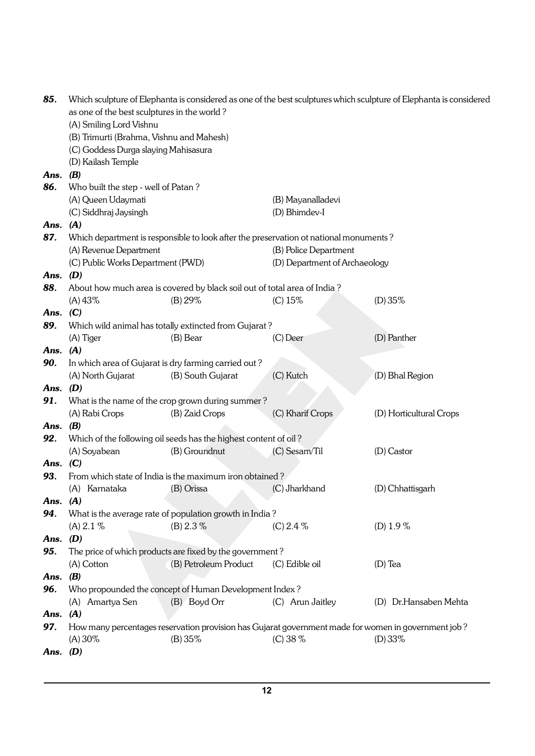| 85.        | Which sculpture of Elephanta is considered as one of the best sculptures which sculpture of Elephanta is considered |                                                                                                     |                               |                         |  |
|------------|---------------------------------------------------------------------------------------------------------------------|-----------------------------------------------------------------------------------------------------|-------------------------------|-------------------------|--|
|            | as one of the best sculptures in the world?                                                                         |                                                                                                     |                               |                         |  |
|            | (A) Smiling Lord Vishnu                                                                                             |                                                                                                     |                               |                         |  |
|            | (B) Trimurti (Brahma, Vishnu and Mahesh)                                                                            |                                                                                                     |                               |                         |  |
|            | (C) Goddess Durga slaying Mahisasura                                                                                |                                                                                                     |                               |                         |  |
|            | (D) Kailash Temple                                                                                                  |                                                                                                     |                               |                         |  |
| Ans.       | (B)                                                                                                                 |                                                                                                     |                               |                         |  |
| 86.        | Who built the step - well of Patan?                                                                                 |                                                                                                     |                               |                         |  |
|            | (A) Queen Udaymati                                                                                                  |                                                                                                     | (B) Mayanalladevi             |                         |  |
|            | (C) Siddhraj Jaysingh                                                                                               |                                                                                                     | (D) Bhimdev-I                 |                         |  |
| Ans.       | (A)                                                                                                                 |                                                                                                     |                               |                         |  |
| 87.        |                                                                                                                     | Which department is responsible to look after the preservation ot national monuments?               |                               |                         |  |
|            | (A) Revenue Department                                                                                              |                                                                                                     | (B) Police Department         |                         |  |
|            | (C) Public Works Department (PWD)                                                                                   |                                                                                                     | (D) Department of Archaeology |                         |  |
| Ans. $(D)$ |                                                                                                                     |                                                                                                     |                               |                         |  |
| 88.        |                                                                                                                     | About how much area is covered by black soil out of total area of India?                            |                               |                         |  |
|            | (A) 43%                                                                                                             | (B) 29%                                                                                             | (C) 15%                       | (D) 35%                 |  |
| Ans.       | (C)                                                                                                                 |                                                                                                     |                               |                         |  |
| 89.        |                                                                                                                     | Which wild animal has totally extincted from Gujarat?                                               |                               |                         |  |
|            | (A) Tiger                                                                                                           | (B) Bear                                                                                            | $(C)$ Deer                    | (D) Panther             |  |
| Ans.       | (A)                                                                                                                 |                                                                                                     |                               |                         |  |
| 90.        |                                                                                                                     | In which area of Gujarat is dry farming carried out?                                                |                               |                         |  |
|            | (A) North Gujarat                                                                                                   | (B) South Gujarat                                                                                   | (C) Kutch                     | (D) Bhal Region         |  |
| Ans.       | (D)                                                                                                                 |                                                                                                     |                               |                         |  |
| 91.        |                                                                                                                     | What is the name of the crop grown during summer?                                                   |                               |                         |  |
|            | (A) Rabi Crops                                                                                                      | (B) Zaid Crops                                                                                      | (C) Kharif Crops              | (D) Horticultural Crops |  |
| Ans.       | (B)                                                                                                                 |                                                                                                     |                               |                         |  |
| 92.        |                                                                                                                     | Which of the following oil seeds has the highest content of oil?                                    |                               |                         |  |
|            | (A) Soyabean                                                                                                        | (B) Groundnut                                                                                       | (C) Sesam/Til                 | (D) Castor              |  |
| Ans.       | (C)                                                                                                                 |                                                                                                     |                               |                         |  |
| 93.        |                                                                                                                     | From which state of India is the maximum iron obtained?                                             |                               |                         |  |
|            | (A) Karnataka                                                                                                       | (B) Orissa                                                                                          | (C) Jharkhand                 | (D) Chhattisgarh        |  |
| Ans. $(A)$ |                                                                                                                     |                                                                                                     |                               |                         |  |
| 94.        |                                                                                                                     | What is the average rate of population growth in India?                                             |                               |                         |  |
|            | (A) 2.1 %                                                                                                           | (B) 2.3 %                                                                                           | $(C)$ 2.4 $%$                 | (D) $1.9\%$             |  |
| Ans. $(D)$ |                                                                                                                     |                                                                                                     |                               |                         |  |
| 95.        |                                                                                                                     | The price of which products are fixed by the government?                                            |                               |                         |  |
|            | (A) Cotton                                                                                                          | (B) Petroleum Product                                                                               | (C) Edible oil                | $(D)$ Tea               |  |
| Ans.       | (B)                                                                                                                 |                                                                                                     |                               |                         |  |
| 96.        |                                                                                                                     | Who propounded the concept of Human Development Index?                                              |                               |                         |  |
|            | (A) Amartya Sen                                                                                                     | (B) Boyd Orr                                                                                        | (C) Arun Jaitley              | (D) Dr.Hansaben Mehta   |  |
| Ans. $(A)$ |                                                                                                                     |                                                                                                     |                               |                         |  |
| 97.        |                                                                                                                     | How many percentages reservation provision has Gujarat government made for women in government job? |                               |                         |  |
|            | $(A) 30\%$                                                                                                          | (B) 35%                                                                                             | $(C)$ 38 %                    | $(D) 33\%$              |  |
| Ans. $(D)$ |                                                                                                                     |                                                                                                     |                               |                         |  |
|            |                                                                                                                     |                                                                                                     |                               |                         |  |